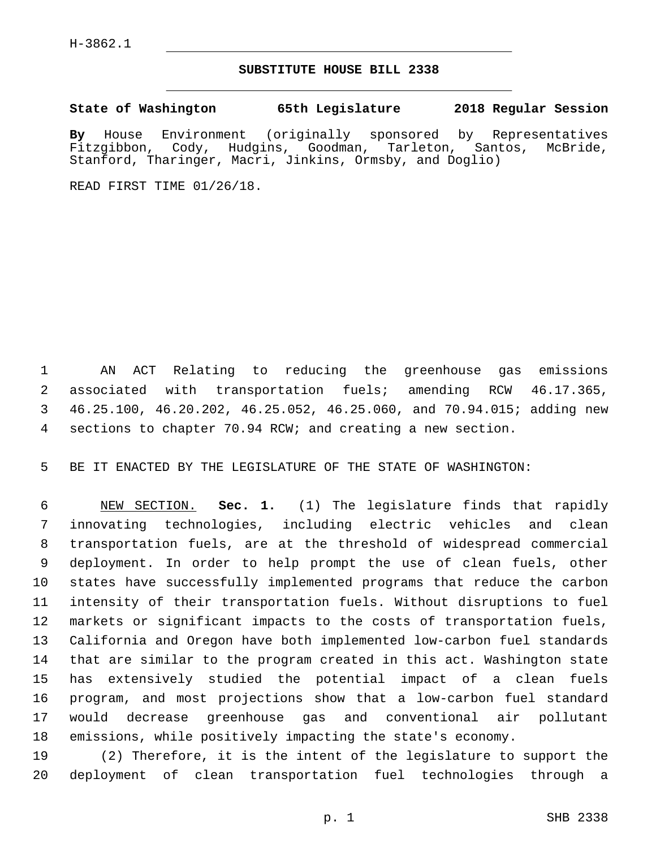## **SUBSTITUTE HOUSE BILL 2338**

**State of Washington 65th Legislature 2018 Regular Session**

**By** House Environment (originally sponsored by Representatives Fitzgibbon, Cody, Hudgins, Goodman, Tarleton, Santos, McBride, Stanford, Tharinger, Macri, Jinkins, Ormsby, and Doglio)

READ FIRST TIME 01/26/18.

 AN ACT Relating to reducing the greenhouse gas emissions associated with transportation fuels; amending RCW 46.17.365, 46.25.100, 46.20.202, 46.25.052, 46.25.060, and 70.94.015; adding new sections to chapter 70.94 RCW; and creating a new section.

BE IT ENACTED BY THE LEGISLATURE OF THE STATE OF WASHINGTON:

 NEW SECTION. **Sec. 1.** (1) The legislature finds that rapidly innovating technologies, including electric vehicles and clean transportation fuels, are at the threshold of widespread commercial deployment. In order to help prompt the use of clean fuels, other states have successfully implemented programs that reduce the carbon intensity of their transportation fuels. Without disruptions to fuel markets or significant impacts to the costs of transportation fuels, California and Oregon have both implemented low-carbon fuel standards that are similar to the program created in this act. Washington state has extensively studied the potential impact of a clean fuels program, and most projections show that a low-carbon fuel standard would decrease greenhouse gas and conventional air pollutant emissions, while positively impacting the state's economy.

 (2) Therefore, it is the intent of the legislature to support the deployment of clean transportation fuel technologies through a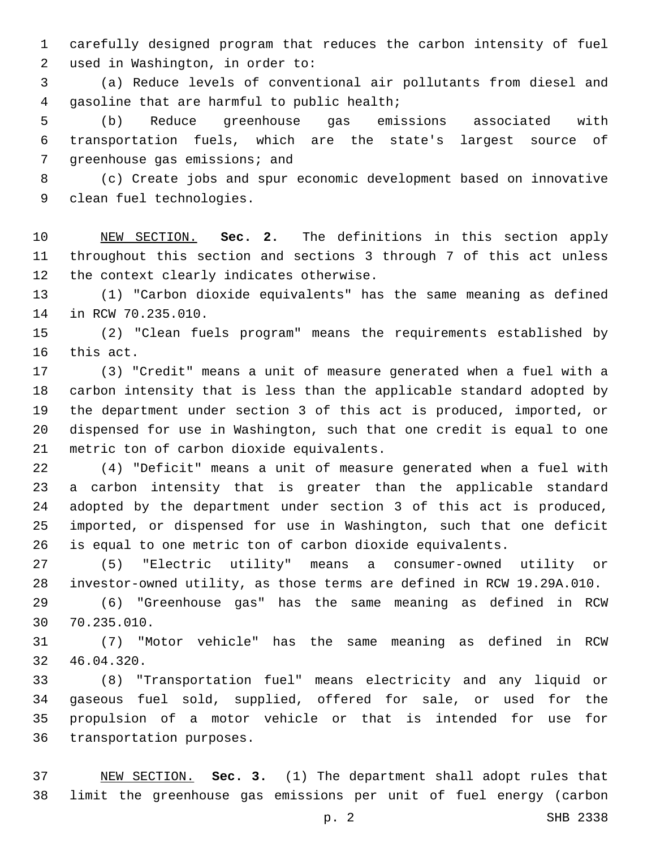carefully designed program that reduces the carbon intensity of fuel 2 used in Washington, in order to:

 (a) Reduce levels of conventional air pollutants from diesel and 4 qasoline that are harmful to public health;

 (b) Reduce greenhouse gas emissions associated with transportation fuels, which are the state's largest source of 7 greenhouse gas emissions; and

 (c) Create jobs and spur economic development based on innovative 9 clean fuel technologies.

 NEW SECTION. **Sec. 2.** The definitions in this section apply throughout this section and sections 3 through 7 of this act unless the context clearly indicates otherwise.

 (1) "Carbon dioxide equivalents" has the same meaning as defined 14 in RCW 70.235.010.

 (2) "Clean fuels program" means the requirements established by 16 this act.

 (3) "Credit" means a unit of measure generated when a fuel with a carbon intensity that is less than the applicable standard adopted by the department under section 3 of this act is produced, imported, or dispensed for use in Washington, such that one credit is equal to one 21 metric ton of carbon dioxide equivalents.

 (4) "Deficit" means a unit of measure generated when a fuel with a carbon intensity that is greater than the applicable standard adopted by the department under section 3 of this act is produced, imported, or dispensed for use in Washington, such that one deficit is equal to one metric ton of carbon dioxide equivalents.

 (5) "Electric utility" means a consumer-owned utility or investor-owned utility, as those terms are defined in RCW 19.29A.010.

 (6) "Greenhouse gas" has the same meaning as defined in RCW 70.235.010.30

 (7) "Motor vehicle" has the same meaning as defined in RCW 32 46.04.320.

 (8) "Transportation fuel" means electricity and any liquid or gaseous fuel sold, supplied, offered for sale, or used for the propulsion of a motor vehicle or that is intended for use for 36 transportation purposes.

 NEW SECTION. **Sec. 3.** (1) The department shall adopt rules that limit the greenhouse gas emissions per unit of fuel energy (carbon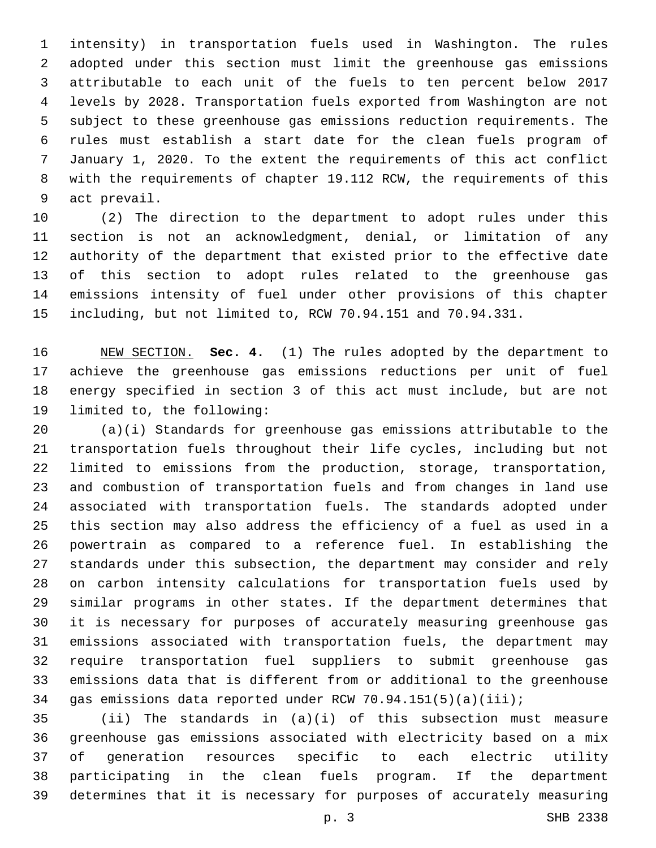intensity) in transportation fuels used in Washington. The rules adopted under this section must limit the greenhouse gas emissions attributable to each unit of the fuels to ten percent below 2017 levels by 2028. Transportation fuels exported from Washington are not subject to these greenhouse gas emissions reduction requirements. The rules must establish a start date for the clean fuels program of January 1, 2020. To the extent the requirements of this act conflict with the requirements of chapter 19.112 RCW, the requirements of this 9 act prevail.

 (2) The direction to the department to adopt rules under this section is not an acknowledgment, denial, or limitation of any authority of the department that existed prior to the effective date of this section to adopt rules related to the greenhouse gas emissions intensity of fuel under other provisions of this chapter including, but not limited to, RCW 70.94.151 and 70.94.331.

 NEW SECTION. **Sec. 4.** (1) The rules adopted by the department to achieve the greenhouse gas emissions reductions per unit of fuel energy specified in section 3 of this act must include, but are not limited to, the following:

 (a)(i) Standards for greenhouse gas emissions attributable to the transportation fuels throughout their life cycles, including but not limited to emissions from the production, storage, transportation, and combustion of transportation fuels and from changes in land use associated with transportation fuels. The standards adopted under this section may also address the efficiency of a fuel as used in a powertrain as compared to a reference fuel. In establishing the standards under this subsection, the department may consider and rely on carbon intensity calculations for transportation fuels used by similar programs in other states. If the department determines that it is necessary for purposes of accurately measuring greenhouse gas emissions associated with transportation fuels, the department may require transportation fuel suppliers to submit greenhouse gas emissions data that is different from or additional to the greenhouse gas emissions data reported under RCW 70.94.151(5)(a)(iii);

 (ii) The standards in (a)(i) of this subsection must measure greenhouse gas emissions associated with electricity based on a mix of generation resources specific to each electric utility participating in the clean fuels program. If the department determines that it is necessary for purposes of accurately measuring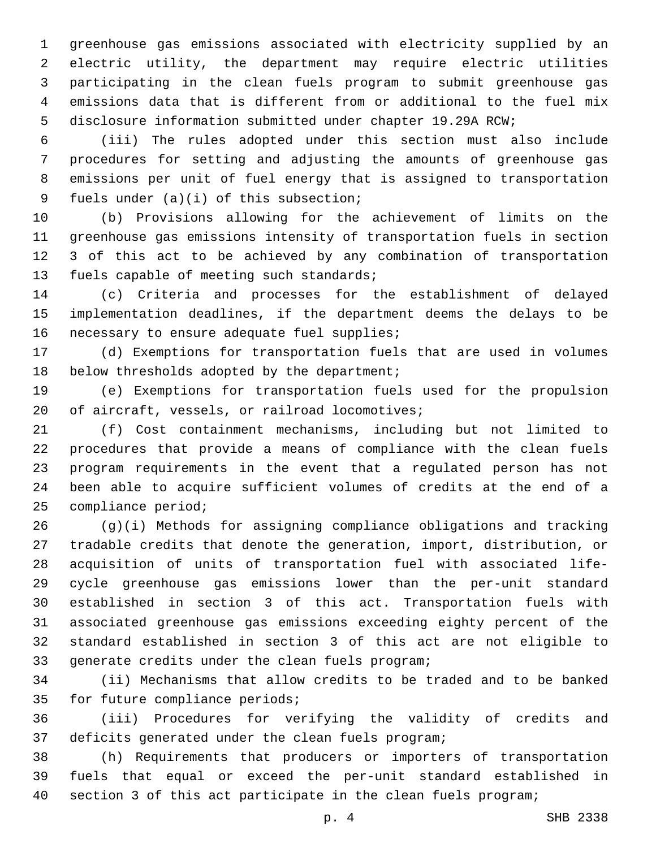greenhouse gas emissions associated with electricity supplied by an electric utility, the department may require electric utilities participating in the clean fuels program to submit greenhouse gas emissions data that is different from or additional to the fuel mix disclosure information submitted under chapter 19.29A RCW;

 (iii) The rules adopted under this section must also include procedures for setting and adjusting the amounts of greenhouse gas emissions per unit of fuel energy that is assigned to transportation 9 fuels under  $(a)(i)$  of this subsection;

 (b) Provisions allowing for the achievement of limits on the greenhouse gas emissions intensity of transportation fuels in section 3 of this act to be achieved by any combination of transportation 13 fuels capable of meeting such standards;

 (c) Criteria and processes for the establishment of delayed implementation deadlines, if the department deems the delays to be 16 necessary to ensure adequate fuel supplies;

 (d) Exemptions for transportation fuels that are used in volumes 18 below thresholds adopted by the department;

 (e) Exemptions for transportation fuels used for the propulsion 20 of aircraft, vessels, or railroad locomotives;

 (f) Cost containment mechanisms, including but not limited to procedures that provide a means of compliance with the clean fuels program requirements in the event that a regulated person has not been able to acquire sufficient volumes of credits at the end of a compliance period;

 (g)(i) Methods for assigning compliance obligations and tracking tradable credits that denote the generation, import, distribution, or acquisition of units of transportation fuel with associated life- cycle greenhouse gas emissions lower than the per-unit standard established in section 3 of this act. Transportation fuels with associated greenhouse gas emissions exceeding eighty percent of the standard established in section 3 of this act are not eligible to 33 qenerate credits under the clean fuels program;

 (ii) Mechanisms that allow credits to be traded and to be banked 35 for future compliance periods;

 (iii) Procedures for verifying the validity of credits and 37 deficits generated under the clean fuels program;

 (h) Requirements that producers or importers of transportation fuels that equal or exceed the per-unit standard established in section 3 of this act participate in the clean fuels program;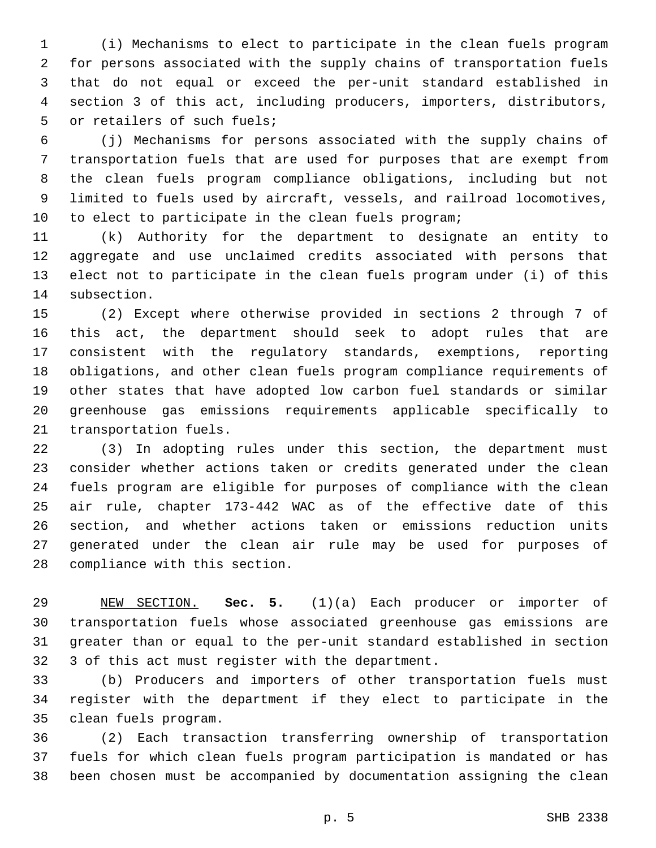(i) Mechanisms to elect to participate in the clean fuels program for persons associated with the supply chains of transportation fuels that do not equal or exceed the per-unit standard established in section 3 of this act, including producers, importers, distributors, 5 or retailers of such fuels;

 (j) Mechanisms for persons associated with the supply chains of transportation fuels that are used for purposes that are exempt from the clean fuels program compliance obligations, including but not limited to fuels used by aircraft, vessels, and railroad locomotives, to elect to participate in the clean fuels program;

 (k) Authority for the department to designate an entity to aggregate and use unclaimed credits associated with persons that elect not to participate in the clean fuels program under (i) of this subsection.

 (2) Except where otherwise provided in sections 2 through 7 of this act, the department should seek to adopt rules that are consistent with the regulatory standards, exemptions, reporting obligations, and other clean fuels program compliance requirements of other states that have adopted low carbon fuel standards or similar greenhouse gas emissions requirements applicable specifically to 21 transportation fuels.

 (3) In adopting rules under this section, the department must consider whether actions taken or credits generated under the clean fuels program are eligible for purposes of compliance with the clean air rule, chapter 173-442 WAC as of the effective date of this section, and whether actions taken or emissions reduction units generated under the clean air rule may be used for purposes of 28 compliance with this section.

 NEW SECTION. **Sec. 5.** (1)(a) Each producer or importer of transportation fuels whose associated greenhouse gas emissions are greater than or equal to the per-unit standard established in section 3 of this act must register with the department.

 (b) Producers and importers of other transportation fuels must register with the department if they elect to participate in the clean fuels program.35

 (2) Each transaction transferring ownership of transportation fuels for which clean fuels program participation is mandated or has been chosen must be accompanied by documentation assigning the clean

p. 5 SHB 2338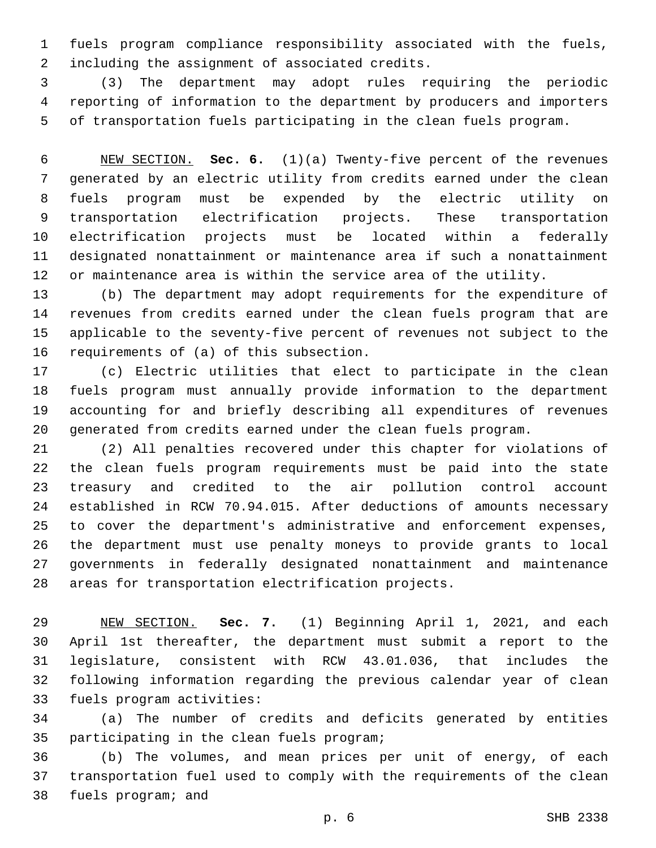fuels program compliance responsibility associated with the fuels, 2 including the assignment of associated credits.

 (3) The department may adopt rules requiring the periodic reporting of information to the department by producers and importers of transportation fuels participating in the clean fuels program.

 NEW SECTION. **Sec. 6.** (1)(a) Twenty-five percent of the revenues generated by an electric utility from credits earned under the clean fuels program must be expended by the electric utility on transportation electrification projects. These transportation electrification projects must be located within a federally designated nonattainment or maintenance area if such a nonattainment or maintenance area is within the service area of the utility.

 (b) The department may adopt requirements for the expenditure of revenues from credits earned under the clean fuels program that are applicable to the seventy-five percent of revenues not subject to the 16 requirements of  $(a)$  of this subsection.

 (c) Electric utilities that elect to participate in the clean fuels program must annually provide information to the department accounting for and briefly describing all expenditures of revenues generated from credits earned under the clean fuels program.

 (2) All penalties recovered under this chapter for violations of the clean fuels program requirements must be paid into the state treasury and credited to the air pollution control account established in RCW 70.94.015. After deductions of amounts necessary to cover the department's administrative and enforcement expenses, the department must use penalty moneys to provide grants to local governments in federally designated nonattainment and maintenance areas for transportation electrification projects.

 NEW SECTION. **Sec. 7.** (1) Beginning April 1, 2021, and each April 1st thereafter, the department must submit a report to the legislature, consistent with RCW 43.01.036, that includes the following information regarding the previous calendar year of clean fuels program activities:

 (a) The number of credits and deficits generated by entities 35 participating in the clean fuels program;

 (b) The volumes, and mean prices per unit of energy, of each transportation fuel used to comply with the requirements of the clean 38 fuels program; and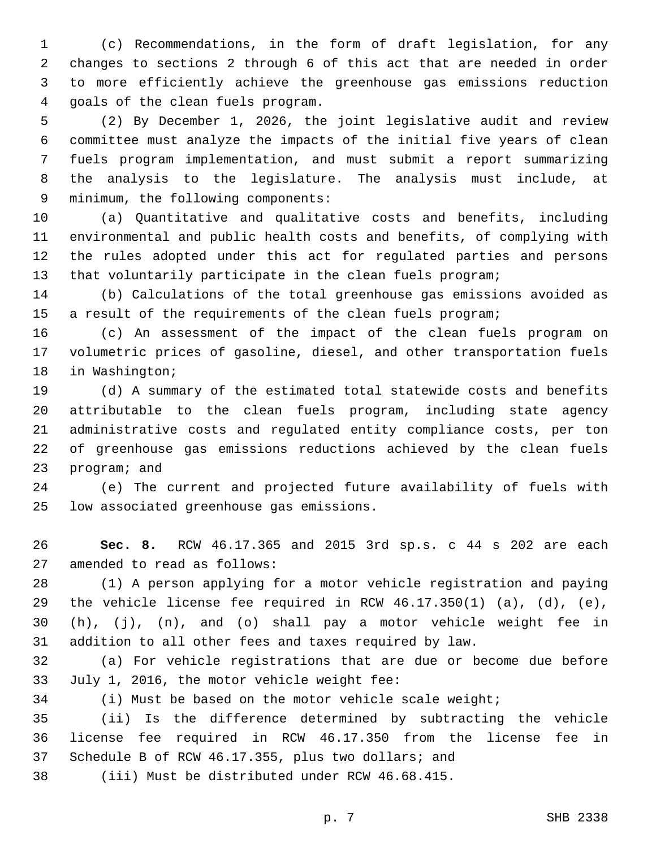(c) Recommendations, in the form of draft legislation, for any changes to sections 2 through 6 of this act that are needed in order to more efficiently achieve the greenhouse gas emissions reduction 4 qoals of the clean fuels program.

 (2) By December 1, 2026, the joint legislative audit and review committee must analyze the impacts of the initial five years of clean fuels program implementation, and must submit a report summarizing the analysis to the legislature. The analysis must include, at 9 minimum, the following components:

 (a) Quantitative and qualitative costs and benefits, including environmental and public health costs and benefits, of complying with the rules adopted under this act for regulated parties and persons that voluntarily participate in the clean fuels program;

 (b) Calculations of the total greenhouse gas emissions avoided as a result of the requirements of the clean fuels program;

 (c) An assessment of the impact of the clean fuels program on volumetric prices of gasoline, diesel, and other transportation fuels 18 in Washington;

 (d) A summary of the estimated total statewide costs and benefits attributable to the clean fuels program, including state agency administrative costs and regulated entity compliance costs, per ton of greenhouse gas emissions reductions achieved by the clean fuels 23 program; and

 (e) The current and projected future availability of fuels with 25 low associated greenhouse gas emissions.

 **Sec. 8.** RCW 46.17.365 and 2015 3rd sp.s. c 44 s 202 are each 27 amended to read as follows:

 (1) A person applying for a motor vehicle registration and paying 29 the vehicle license fee required in RCW  $46.17.350(1)$  (a), (d), (e), (h), (j), (n), and (o) shall pay a motor vehicle weight fee in addition to all other fees and taxes required by law.

 (a) For vehicle registrations that are due or become due before 33 July 1, 2016, the motor vehicle weight fee:

(i) Must be based on the motor vehicle scale weight;

 (ii) Is the difference determined by subtracting the vehicle license fee required in RCW 46.17.350 from the license fee in Schedule B of RCW 46.17.355, plus two dollars; and

(iii) Must be distributed under RCW 46.68.415.

p. 7 SHB 2338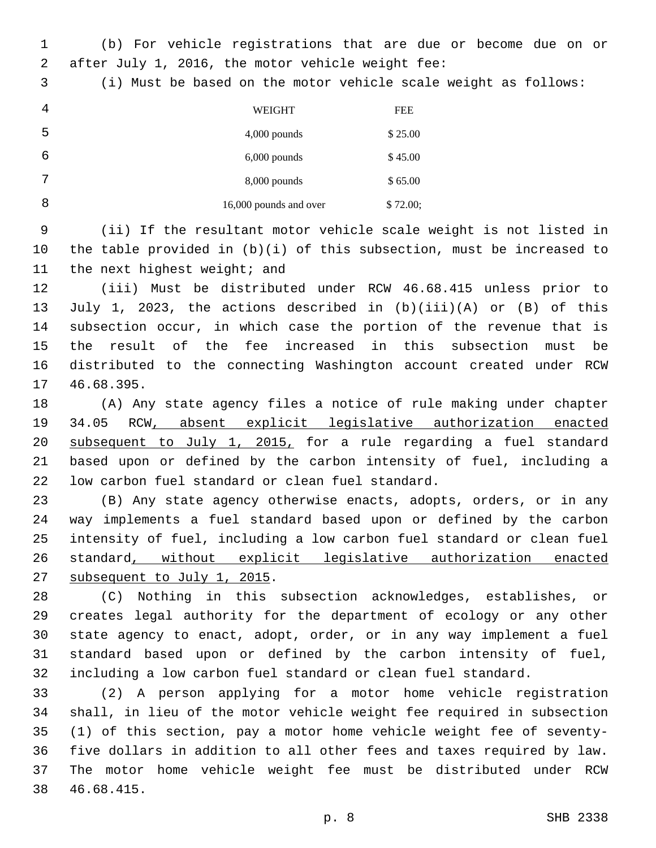(b) For vehicle registrations that are due or become due on or after July 1, 2016, the motor vehicle weight fee:2

(i) Must be based on the motor vehicle scale weight as follows:

| 4 | <b>WEIGHT</b>          | <b>FEE</b> |
|---|------------------------|------------|
| 5 | $4,000$ pounds         | \$25.00    |
| 6 | $6,000$ pounds         | \$45.00    |
| 7 | $8,000$ pounds         | \$65.00    |
| 8 | 16,000 pounds and over | \$72.00;   |

 (ii) If the resultant motor vehicle scale weight is not listed in the table provided in (b)(i) of this subsection, must be increased to 11 the next highest weight; and

 (iii) Must be distributed under RCW 46.68.415 unless prior to July 1, 2023, the actions described in (b)(iii)(A) or (B) of this subsection occur, in which case the portion of the revenue that is the result of the fee increased in this subsection must be distributed to the connecting Washington account created under RCW 17 46.68.395.

 (A) Any state agency files a notice of rule making under chapter 34.05 RCW, absent explicit legislative authorization enacted subsequent to July 1, 2015, for a rule regarding a fuel standard based upon or defined by the carbon intensity of fuel, including a 22 low carbon fuel standard or clean fuel standard.

 (B) Any state agency otherwise enacts, adopts, orders, or in any way implements a fuel standard based upon or defined by the carbon intensity of fuel, including a low carbon fuel standard or clean fuel standard, without explicit legislative authorization enacted 27 subsequent to July 1, 2015.

 (C) Nothing in this subsection acknowledges, establishes, or creates legal authority for the department of ecology or any other state agency to enact, adopt, order, or in any way implement a fuel standard based upon or defined by the carbon intensity of fuel, including a low carbon fuel standard or clean fuel standard.

 (2) A person applying for a motor home vehicle registration shall, in lieu of the motor vehicle weight fee required in subsection (1) of this section, pay a motor home vehicle weight fee of seventy- five dollars in addition to all other fees and taxes required by law. The motor home vehicle weight fee must be distributed under RCW 46.68.415.38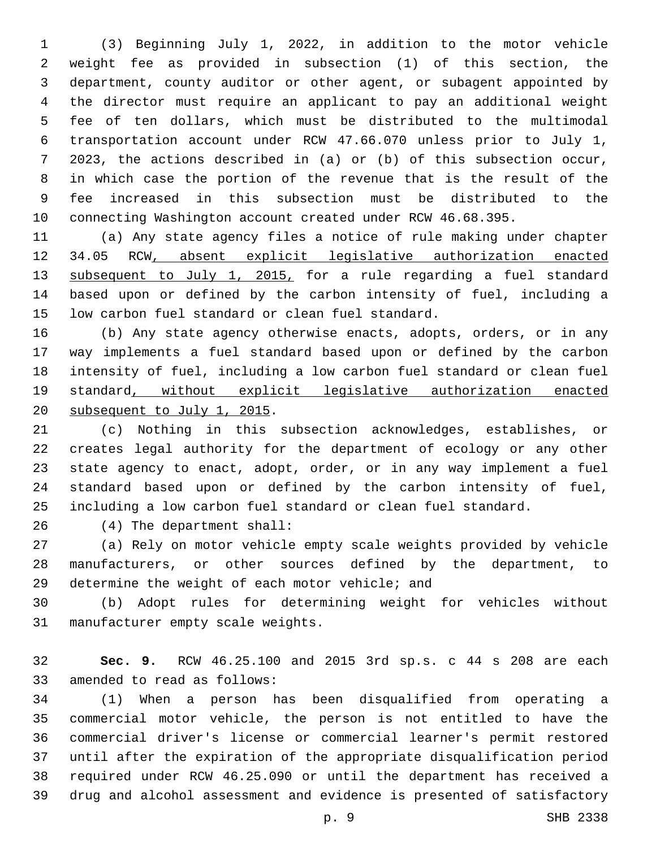(3) Beginning July 1, 2022, in addition to the motor vehicle weight fee as provided in subsection (1) of this section, the department, county auditor or other agent, or subagent appointed by the director must require an applicant to pay an additional weight fee of ten dollars, which must be distributed to the multimodal transportation account under RCW 47.66.070 unless prior to July 1, 2023, the actions described in (a) or (b) of this subsection occur, in which case the portion of the revenue that is the result of the fee increased in this subsection must be distributed to the connecting Washington account created under RCW 46.68.395.

 (a) Any state agency files a notice of rule making under chapter 34.05 RCW, absent explicit legislative authorization enacted 13 subsequent to July 1, 2015, for a rule regarding a fuel standard based upon or defined by the carbon intensity of fuel, including a 15 low carbon fuel standard or clean fuel standard.

 (b) Any state agency otherwise enacts, adopts, orders, or in any way implements a fuel standard based upon or defined by the carbon intensity of fuel, including a low carbon fuel standard or clean fuel standard, without explicit legislative authorization enacted 20 subsequent to July 1, 2015.

 (c) Nothing in this subsection acknowledges, establishes, or creates legal authority for the department of ecology or any other state agency to enact, adopt, order, or in any way implement a fuel standard based upon or defined by the carbon intensity of fuel, including a low carbon fuel standard or clean fuel standard.

(4) The department shall:26

 (a) Rely on motor vehicle empty scale weights provided by vehicle manufacturers, or other sources defined by the department, to 29 determine the weight of each motor vehicle; and

 (b) Adopt rules for determining weight for vehicles without 31 manufacturer empty scale weights.

 **Sec. 9.** RCW 46.25.100 and 2015 3rd sp.s. c 44 s 208 are each 33 amended to read as follows:

 (1) When a person has been disqualified from operating a commercial motor vehicle, the person is not entitled to have the commercial driver's license or commercial learner's permit restored until after the expiration of the appropriate disqualification period required under RCW 46.25.090 or until the department has received a drug and alcohol assessment and evidence is presented of satisfactory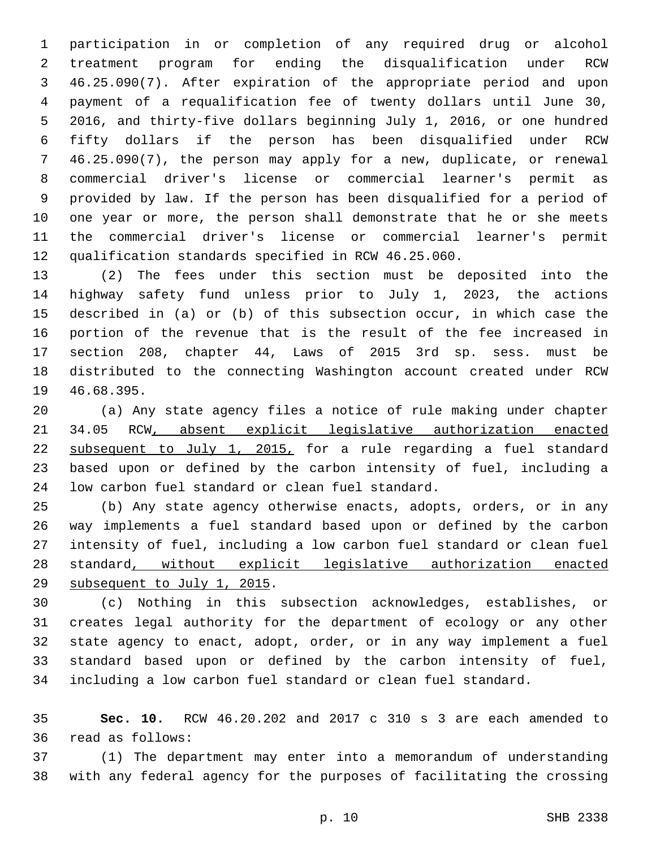participation in or completion of any required drug or alcohol treatment program for ending the disqualification under RCW 46.25.090(7). After expiration of the appropriate period and upon payment of a requalification fee of twenty dollars until June 30, 2016, and thirty-five dollars beginning July 1, 2016, or one hundred fifty dollars if the person has been disqualified under RCW 46.25.090(7), the person may apply for a new, duplicate, or renewal commercial driver's license or commercial learner's permit as provided by law. If the person has been disqualified for a period of one year or more, the person shall demonstrate that he or she meets the commercial driver's license or commercial learner's permit qualification standards specified in RCW 46.25.060.

 (2) The fees under this section must be deposited into the highway safety fund unless prior to July 1, 2023, the actions described in (a) or (b) of this subsection occur, in which case the portion of the revenue that is the result of the fee increased in section 208, chapter 44, Laws of 2015 3rd sp. sess. must be distributed to the connecting Washington account created under RCW 19 46.68.395.

 (a) Any state agency files a notice of rule making under chapter 34.05 RCW, absent explicit legislative authorization enacted subsequent to July 1, 2015, for a rule regarding a fuel standard based upon or defined by the carbon intensity of fuel, including a 24 low carbon fuel standard or clean fuel standard.

 (b) Any state agency otherwise enacts, adopts, orders, or in any way implements a fuel standard based upon or defined by the carbon intensity of fuel, including a low carbon fuel standard or clean fuel standard, without explicit legislative authorization enacted 29 subsequent to July 1, 2015.

 (c) Nothing in this subsection acknowledges, establishes, or creates legal authority for the department of ecology or any other state agency to enact, adopt, order, or in any way implement a fuel standard based upon or defined by the carbon intensity of fuel, including a low carbon fuel standard or clean fuel standard.

 **Sec. 10.** RCW 46.20.202 and 2017 c 310 s 3 are each amended to 36 read as follows:

 (1) The department may enter into a memorandum of understanding with any federal agency for the purposes of facilitating the crossing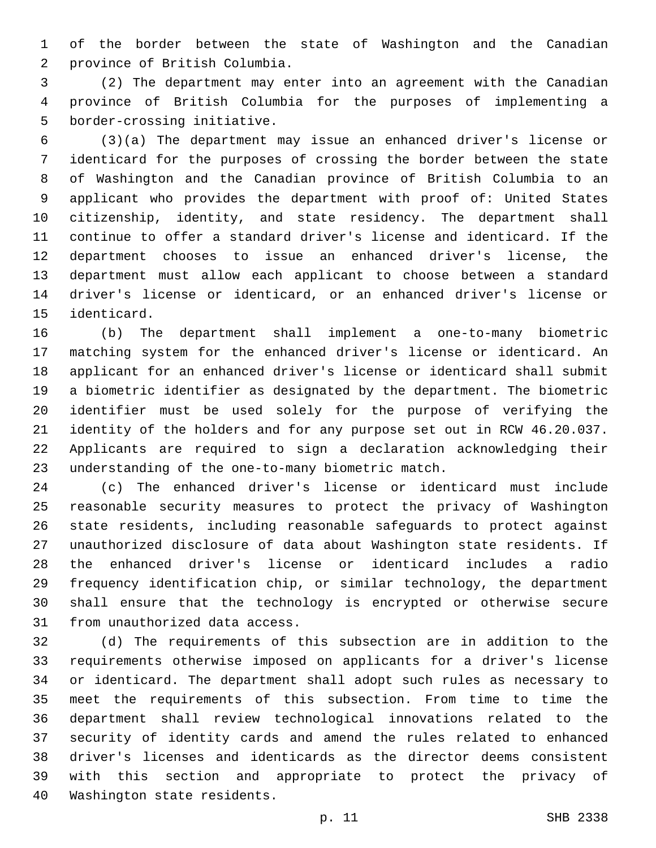of the border between the state of Washington and the Canadian 2 province of British Columbia.

 (2) The department may enter into an agreement with the Canadian province of British Columbia for the purposes of implementing a 5 border-crossing initiative.

 (3)(a) The department may issue an enhanced driver's license or identicard for the purposes of crossing the border between the state of Washington and the Canadian province of British Columbia to an applicant who provides the department with proof of: United States citizenship, identity, and state residency. The department shall continue to offer a standard driver's license and identicard. If the department chooses to issue an enhanced driver's license, the department must allow each applicant to choose between a standard driver's license or identicard, or an enhanced driver's license or 15 identicard.

 (b) The department shall implement a one-to-many biometric matching system for the enhanced driver's license or identicard. An applicant for an enhanced driver's license or identicard shall submit a biometric identifier as designated by the department. The biometric identifier must be used solely for the purpose of verifying the identity of the holders and for any purpose set out in RCW 46.20.037. Applicants are required to sign a declaration acknowledging their 23 understanding of the one-to-many biometric match.

 (c) The enhanced driver's license or identicard must include reasonable security measures to protect the privacy of Washington state residents, including reasonable safeguards to protect against unauthorized disclosure of data about Washington state residents. If the enhanced driver's license or identicard includes a radio frequency identification chip, or similar technology, the department shall ensure that the technology is encrypted or otherwise secure 31 from unauthorized data access.

 (d) The requirements of this subsection are in addition to the requirements otherwise imposed on applicants for a driver's license or identicard. The department shall adopt such rules as necessary to meet the requirements of this subsection. From time to time the department shall review technological innovations related to the security of identity cards and amend the rules related to enhanced driver's licenses and identicards as the director deems consistent with this section and appropriate to protect the privacy of 40 Washington state residents.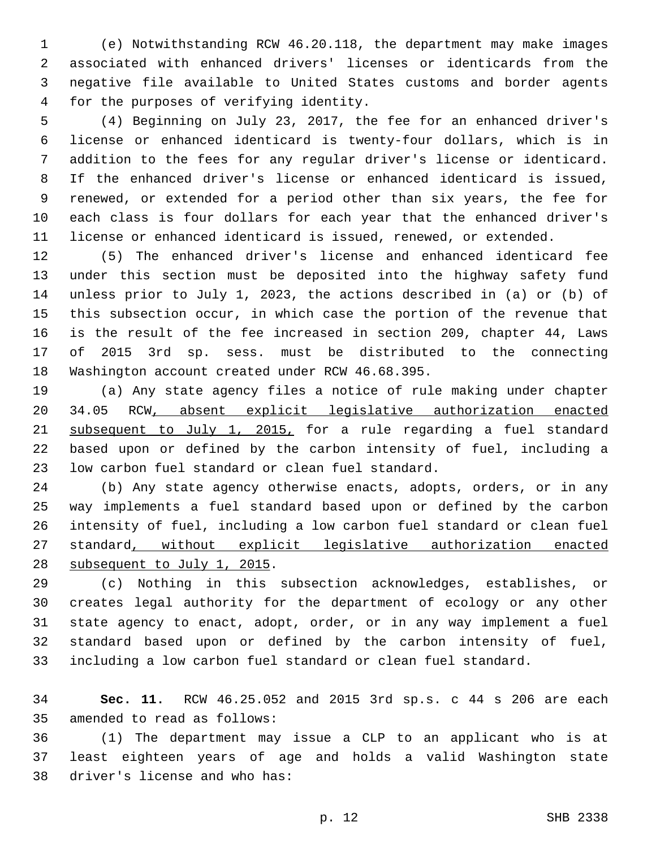(e) Notwithstanding RCW 46.20.118, the department may make images associated with enhanced drivers' licenses or identicards from the negative file available to United States customs and border agents 4 for the purposes of verifying identity.

 (4) Beginning on July 23, 2017, the fee for an enhanced driver's license or enhanced identicard is twenty-four dollars, which is in addition to the fees for any regular driver's license or identicard. If the enhanced driver's license or enhanced identicard is issued, renewed, or extended for a period other than six years, the fee for each class is four dollars for each year that the enhanced driver's license or enhanced identicard is issued, renewed, or extended.

 (5) The enhanced driver's license and enhanced identicard fee under this section must be deposited into the highway safety fund unless prior to July 1, 2023, the actions described in (a) or (b) of this subsection occur, in which case the portion of the revenue that is the result of the fee increased in section 209, chapter 44, Laws of 2015 3rd sp. sess. must be distributed to the connecting 18 Washington account created under RCW 46.68.395.

 (a) Any state agency files a notice of rule making under chapter 34.05 RCW, absent explicit legislative authorization enacted subsequent to July 1, 2015, for a rule regarding a fuel standard based upon or defined by the carbon intensity of fuel, including a 23 low carbon fuel standard or clean fuel standard.

 (b) Any state agency otherwise enacts, adopts, orders, or in any way implements a fuel standard based upon or defined by the carbon intensity of fuel, including a low carbon fuel standard or clean fuel standard, without explicit legislative authorization enacted 28 subsequent to July 1, 2015.

 (c) Nothing in this subsection acknowledges, establishes, or creates legal authority for the department of ecology or any other state agency to enact, adopt, order, or in any way implement a fuel standard based upon or defined by the carbon intensity of fuel, including a low carbon fuel standard or clean fuel standard.

 **Sec. 11.** RCW 46.25.052 and 2015 3rd sp.s. c 44 s 206 are each 35 amended to read as follows:

 (1) The department may issue a CLP to an applicant who is at least eighteen years of age and holds a valid Washington state 38 driver's license and who has: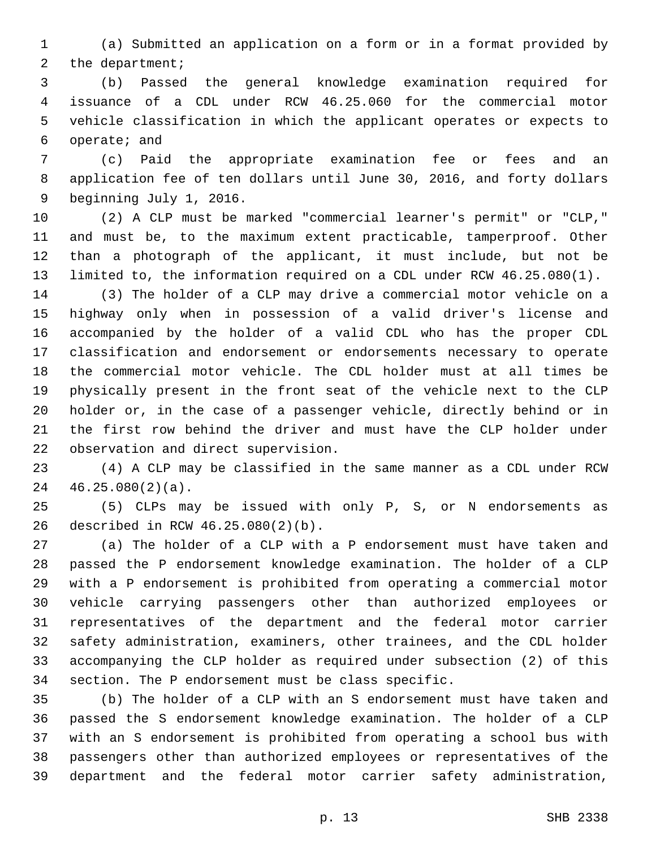(a) Submitted an application on a form or in a format provided by 2 the department;

 (b) Passed the general knowledge examination required for issuance of a CDL under RCW 46.25.060 for the commercial motor vehicle classification in which the applicant operates or expects to 6 operate; and

 (c) Paid the appropriate examination fee or fees and an application fee of ten dollars until June 30, 2016, and forty dollars 9 beginning July 1, 2016.

 (2) A CLP must be marked "commercial learner's permit" or "CLP," and must be, to the maximum extent practicable, tamperproof. Other than a photograph of the applicant, it must include, but not be limited to, the information required on a CDL under RCW 46.25.080(1).

 (3) The holder of a CLP may drive a commercial motor vehicle on a highway only when in possession of a valid driver's license and accompanied by the holder of a valid CDL who has the proper CDL classification and endorsement or endorsements necessary to operate the commercial motor vehicle. The CDL holder must at all times be physically present in the front seat of the vehicle next to the CLP holder or, in the case of a passenger vehicle, directly behind or in the first row behind the driver and must have the CLP holder under 22 observation and direct supervision.

 (4) A CLP may be classified in the same manner as a CDL under RCW  $46.25.080(2)(a)$ .

 (5) CLPs may be issued with only P, S, or N endorsements as described in RCW 46.25.080(2)(b).26

 (a) The holder of a CLP with a P endorsement must have taken and passed the P endorsement knowledge examination. The holder of a CLP with a P endorsement is prohibited from operating a commercial motor vehicle carrying passengers other than authorized employees or representatives of the department and the federal motor carrier safety administration, examiners, other trainees, and the CDL holder accompanying the CLP holder as required under subsection (2) of this section. The P endorsement must be class specific.

 (b) The holder of a CLP with an S endorsement must have taken and passed the S endorsement knowledge examination. The holder of a CLP with an S endorsement is prohibited from operating a school bus with passengers other than authorized employees or representatives of the department and the federal motor carrier safety administration,

p. 13 SHB 2338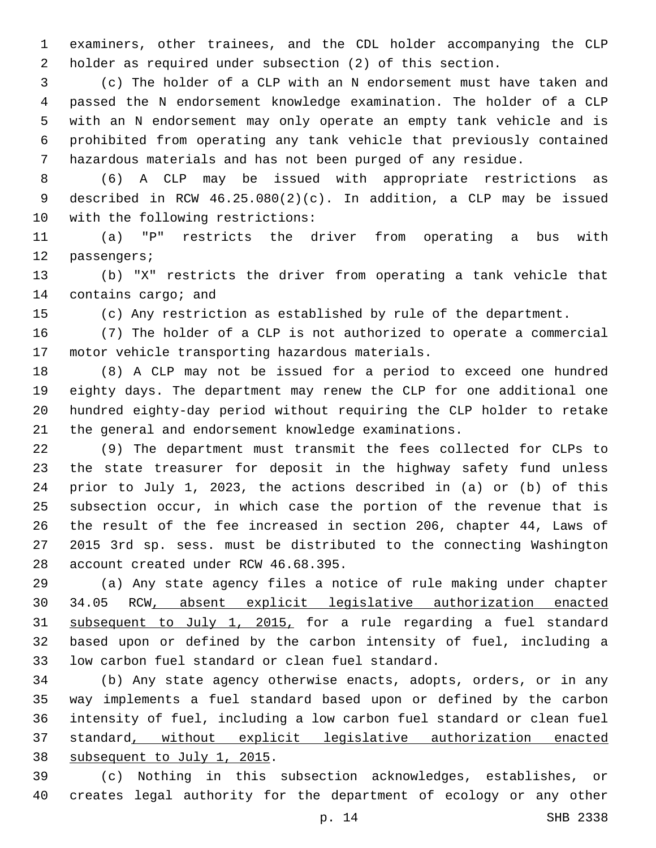examiners, other trainees, and the CDL holder accompanying the CLP holder as required under subsection (2) of this section.

 (c) The holder of a CLP with an N endorsement must have taken and passed the N endorsement knowledge examination. The holder of a CLP with an N endorsement may only operate an empty tank vehicle and is prohibited from operating any tank vehicle that previously contained hazardous materials and has not been purged of any residue.

 (6) A CLP may be issued with appropriate restrictions as described in RCW 46.25.080(2)(c). In addition, a CLP may be issued 10 with the following restrictions:

 (a) "P" restricts the driver from operating a bus with 12 passengers;

 (b) "X" restricts the driver from operating a tank vehicle that 14 contains cargo; and

(c) Any restriction as established by rule of the department.

 (7) The holder of a CLP is not authorized to operate a commercial 17 motor vehicle transporting hazardous materials.

 (8) A CLP may not be issued for a period to exceed one hundred eighty days. The department may renew the CLP for one additional one hundred eighty-day period without requiring the CLP holder to retake the general and endorsement knowledge examinations.

 (9) The department must transmit the fees collected for CLPs to the state treasurer for deposit in the highway safety fund unless prior to July 1, 2023, the actions described in (a) or (b) of this subsection occur, in which case the portion of the revenue that is the result of the fee increased in section 206, chapter 44, Laws of 2015 3rd sp. sess. must be distributed to the connecting Washington 28 account created under RCW 46.68.395.

 (a) Any state agency files a notice of rule making under chapter 34.05 RCW, absent explicit legislative authorization enacted subsequent to July 1, 2015, for a rule regarding a fuel standard based upon or defined by the carbon intensity of fuel, including a 33 low carbon fuel standard or clean fuel standard.

 (b) Any state agency otherwise enacts, adopts, orders, or in any way implements a fuel standard based upon or defined by the carbon intensity of fuel, including a low carbon fuel standard or clean fuel standard, without explicit legislative authorization enacted 38 subsequent to July 1, 2015.

 (c) Nothing in this subsection acknowledges, establishes, or creates legal authority for the department of ecology or any other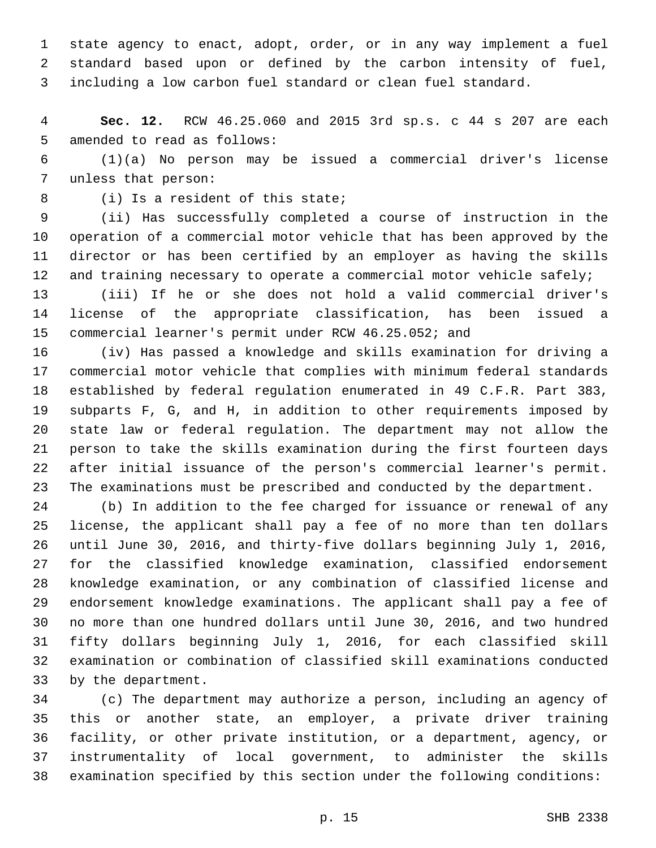state agency to enact, adopt, order, or in any way implement a fuel standard based upon or defined by the carbon intensity of fuel, including a low carbon fuel standard or clean fuel standard.

 **Sec. 12.** RCW 46.25.060 and 2015 3rd sp.s. c 44 s 207 are each 5 amended to read as follows:

 (1)(a) No person may be issued a commercial driver's license 7 unless that person:

8 (i) Is a resident of this state;

 (ii) Has successfully completed a course of instruction in the operation of a commercial motor vehicle that has been approved by the director or has been certified by an employer as having the skills 12 and training necessary to operate a commercial motor vehicle safely;

 (iii) If he or she does not hold a valid commercial driver's license of the appropriate classification, has been issued a commercial learner's permit under RCW 46.25.052; and

 (iv) Has passed a knowledge and skills examination for driving a commercial motor vehicle that complies with minimum federal standards established by federal regulation enumerated in 49 C.F.R. Part 383, subparts F, G, and H, in addition to other requirements imposed by state law or federal regulation. The department may not allow the person to take the skills examination during the first fourteen days after initial issuance of the person's commercial learner's permit. The examinations must be prescribed and conducted by the department.

 (b) In addition to the fee charged for issuance or renewal of any license, the applicant shall pay a fee of no more than ten dollars until June 30, 2016, and thirty-five dollars beginning July 1, 2016, for the classified knowledge examination, classified endorsement knowledge examination, or any combination of classified license and endorsement knowledge examinations. The applicant shall pay a fee of no more than one hundred dollars until June 30, 2016, and two hundred fifty dollars beginning July 1, 2016, for each classified skill examination or combination of classified skill examinations conducted 33 by the department.

 (c) The department may authorize a person, including an agency of this or another state, an employer, a private driver training facility, or other private institution, or a department, agency, or instrumentality of local government, to administer the skills examination specified by this section under the following conditions: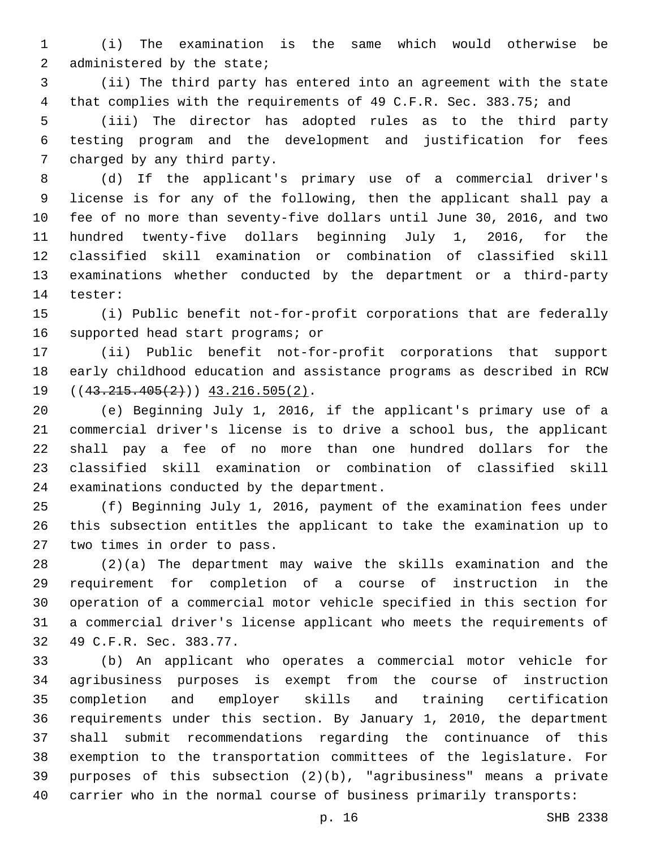(i) The examination is the same which would otherwise be 2 administered by the state;

 (ii) The third party has entered into an agreement with the state that complies with the requirements of 49 C.F.R. Sec. 383.75; and

 (iii) The director has adopted rules as to the third party testing program and the development and justification for fees 7 charged by any third party.

 (d) If the applicant's primary use of a commercial driver's license is for any of the following, then the applicant shall pay a fee of no more than seventy-five dollars until June 30, 2016, and two hundred twenty-five dollars beginning July 1, 2016, for the classified skill examination or combination of classified skill examinations whether conducted by the department or a third-party 14 tester:

 (i) Public benefit not-for-profit corporations that are federally 16 supported head start programs; or

 (ii) Public benefit not-for-profit corporations that support early childhood education and assistance programs as described in RCW  $((43.215.405(2)))$   $43.216.505(2)$ .

 (e) Beginning July 1, 2016, if the applicant's primary use of a commercial driver's license is to drive a school bus, the applicant shall pay a fee of no more than one hundred dollars for the classified skill examination or combination of classified skill 24 examinations conducted by the department.

 (f) Beginning July 1, 2016, payment of the examination fees under this subsection entitles the applicant to take the examination up to 27 two times in order to pass.

 (2)(a) The department may waive the skills examination and the requirement for completion of a course of instruction in the operation of a commercial motor vehicle specified in this section for a commercial driver's license applicant who meets the requirements of 32 49 C.F.R. Sec. 383.77.

 (b) An applicant who operates a commercial motor vehicle for agribusiness purposes is exempt from the course of instruction completion and employer skills and training certification requirements under this section. By January 1, 2010, the department shall submit recommendations regarding the continuance of this exemption to the transportation committees of the legislature. For purposes of this subsection (2)(b), "agribusiness" means a private carrier who in the normal course of business primarily transports: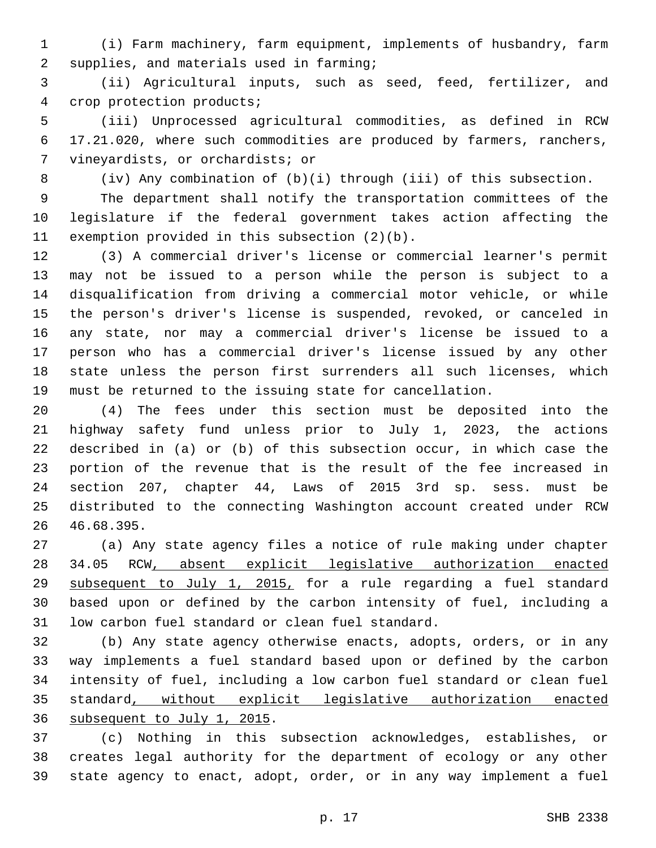(i) Farm machinery, farm equipment, implements of husbandry, farm 2 supplies, and materials used in farming;

 (ii) Agricultural inputs, such as seed, feed, fertilizer, and 4 crop protection products;

 (iii) Unprocessed agricultural commodities, as defined in RCW 17.21.020, where such commodities are produced by farmers, ranchers, 7 vineyardists, or orchardists; or

(iv) Any combination of (b)(i) through (iii) of this subsection.

 The department shall notify the transportation committees of the legislature if the federal government takes action affecting the 11 exemption provided in this subsection  $(2)(b)$ .

 (3) A commercial driver's license or commercial learner's permit may not be issued to a person while the person is subject to a disqualification from driving a commercial motor vehicle, or while the person's driver's license is suspended, revoked, or canceled in any state, nor may a commercial driver's license be issued to a person who has a commercial driver's license issued by any other state unless the person first surrenders all such licenses, which must be returned to the issuing state for cancellation.

 (4) The fees under this section must be deposited into the highway safety fund unless prior to July 1, 2023, the actions described in (a) or (b) of this subsection occur, in which case the portion of the revenue that is the result of the fee increased in section 207, chapter 44, Laws of 2015 3rd sp. sess. must be distributed to the connecting Washington account created under RCW 46.68.395.26

 (a) Any state agency files a notice of rule making under chapter 34.05 RCW, absent explicit legislative authorization enacted subsequent to July 1, 2015, for a rule regarding a fuel standard based upon or defined by the carbon intensity of fuel, including a 31 low carbon fuel standard or clean fuel standard.

 (b) Any state agency otherwise enacts, adopts, orders, or in any way implements a fuel standard based upon or defined by the carbon intensity of fuel, including a low carbon fuel standard or clean fuel standard, without explicit legislative authorization enacted 36 subsequent to July 1, 2015.

 (c) Nothing in this subsection acknowledges, establishes, or creates legal authority for the department of ecology or any other state agency to enact, adopt, order, or in any way implement a fuel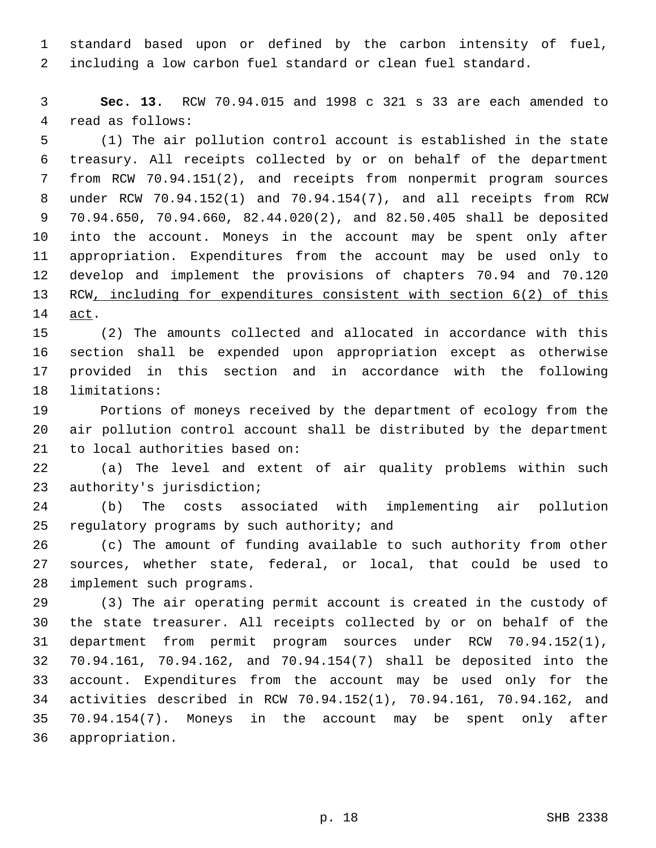standard based upon or defined by the carbon intensity of fuel, including a low carbon fuel standard or clean fuel standard.

 **Sec. 13.** RCW 70.94.015 and 1998 c 321 s 33 are each amended to 4 read as follows:

 (1) The air pollution control account is established in the state treasury. All receipts collected by or on behalf of the department from RCW 70.94.151(2), and receipts from nonpermit program sources under RCW 70.94.152(1) and 70.94.154(7), and all receipts from RCW 70.94.650, 70.94.660, 82.44.020(2), and 82.50.405 shall be deposited into the account. Moneys in the account may be spent only after appropriation. Expenditures from the account may be used only to develop and implement the provisions of chapters 70.94 and 70.120 13 RCW, including for expenditures consistent with section 6(2) of this 14 <u>act</u>.

 (2) The amounts collected and allocated in accordance with this section shall be expended upon appropriation except as otherwise provided in this section and in accordance with the following 18 limitations:

 Portions of moneys received by the department of ecology from the air pollution control account shall be distributed by the department 21 to local authorities based on:

 (a) The level and extent of air quality problems within such 23 authority's jurisdiction;

 (b) The costs associated with implementing air pollution 25 regulatory programs by such authority; and

 (c) The amount of funding available to such authority from other sources, whether state, federal, or local, that could be used to 28 implement such programs.

 (3) The air operating permit account is created in the custody of the state treasurer. All receipts collected by or on behalf of the department from permit program sources under RCW 70.94.152(1), 70.94.161, 70.94.162, and 70.94.154(7) shall be deposited into the account. Expenditures from the account may be used only for the activities described in RCW 70.94.152(1), 70.94.161, 70.94.162, and 70.94.154(7). Moneys in the account may be spent only after 36 appropriation.